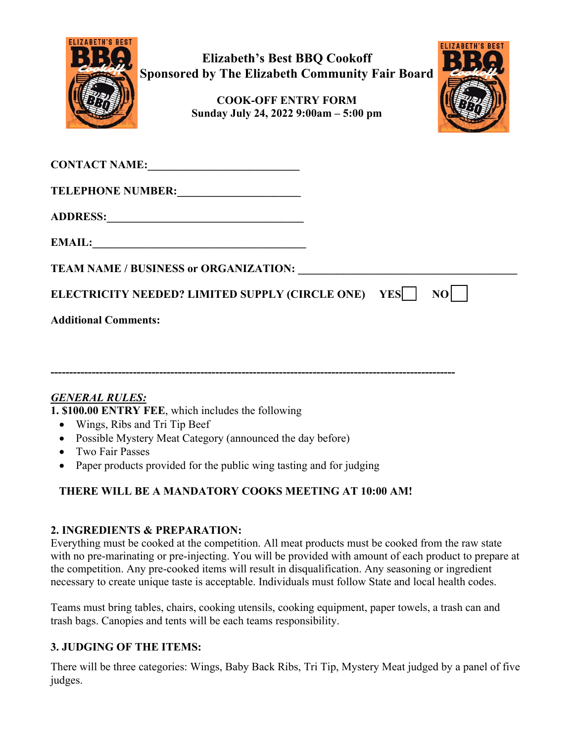

**Elizabeth's Best BBQ Cookoff Sponsored by The Elizabeth Community Fair Board**

> **COOK-OFF ENTRY FORM Sunday July 24, 2022 9:00am – 5:00 pm**



| <b>CONTACT NAME:</b><br><u> 1980 - Andrea Andrew Maria (h. 1980).</u> |    |
|-----------------------------------------------------------------------|----|
| <b>TELEPHONE NUMBER:</b>                                              |    |
|                                                                       |    |
| <b>EMAIL:</b>                                                         |    |
| <b>TEAM NAME / BUSINESS or ORGANIZATION:</b>                          |    |
| ELECTRICITY NEEDED? LIMITED SUPPLY (CIRCLE ONE) YES                   | NO |
| <b>Additional Comments:</b>                                           |    |
|                                                                       |    |
|                                                                       |    |

# *GENERAL RULES:*

**1. \$100.00 ENTRY FEE**, which includes the following

- Wings, Ribs and Tri Tip Beef
- Possible Mystery Meat Category (announced the day before)
- Two Fair Passes
- Paper products provided for the public wing tasting and for judging

# **THERE WILL BE A MANDATORY COOKS MEETING AT 10:00 AM!**

### **2. INGREDIENTS & PREPARATION:**

Everything must be cooked at the competition. All meat products must be cooked from the raw state with no pre-marinating or pre-injecting. You will be provided with amount of each product to prepare at the competition. Any pre-cooked items will result in disqualification. Any seasoning or ingredient necessary to create unique taste is acceptable. Individuals must follow State and local health codes.

Teams must bring tables, chairs, cooking utensils, cooking equipment, paper towels, a trash can and trash bags. Canopies and tents will be each teams responsibility.

# **3. JUDGING OF THE ITEMS:**

There will be three categories: Wings, Baby Back Ribs, Tri Tip, Mystery Meat judged by a panel of five judges.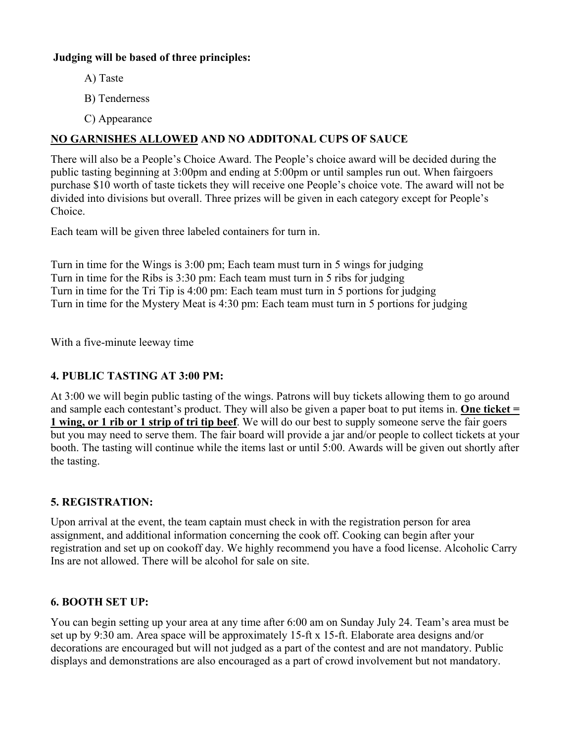### **Judging will be based of three principles:**

- A) Taste
- B) Tenderness
- C) Appearance

### **NO GARNISHES ALLOWED AND NO ADDITONAL CUPS OF SAUCE**

There will also be a People's Choice Award. The People's choice award will be decided during the public tasting beginning at 3:00pm and ending at 5:00pm or until samples run out. When fairgoers purchase \$10 worth of taste tickets they will receive one People's choice vote. The award will not be divided into divisions but overall. Three prizes will be given in each category except for People's Choice.

Each team will be given three labeled containers for turn in.

Turn in time for the Wings is 3:00 pm; Each team must turn in 5 wings for judging Turn in time for the Ribs is 3:30 pm: Each team must turn in 5 ribs for judging Turn in time for the Tri Tip is 4:00 pm: Each team must turn in 5 portions for judging Turn in time for the Mystery Meat is 4:30 pm: Each team must turn in 5 portions for judging

With a five-minute leeway time

### **4. PUBLIC TASTING AT 3:00 PM:**

At 3:00 we will begin public tasting of the wings. Patrons will buy tickets allowing them to go around and sample each contestant's product. They will also be given a paper boat to put items in. **One ticket = 1 wing, or 1 rib or 1 strip of tri tip beef**. We will do our best to supply someone serve the fair goers but you may need to serve them. The fair board will provide a jar and/or people to collect tickets at your booth. The tasting will continue while the items last or until 5:00. Awards will be given out shortly after the tasting.

### **5. REGISTRATION:**

Upon arrival at the event, the team captain must check in with the registration person for area assignment, and additional information concerning the cook off. Cooking can begin after your registration and set up on cookoff day. We highly recommend you have a food license. Alcoholic Carry Ins are not allowed. There will be alcohol for sale on site.

### **6. BOOTH SET UP:**

You can begin setting up your area at any time after 6:00 am on Sunday July 24. Team's area must be set up by 9:30 am. Area space will be approximately 15-ft x 15-ft. Elaborate area designs and/or decorations are encouraged but will not judged as a part of the contest and are not mandatory. Public displays and demonstrations are also encouraged as a part of crowd involvement but not mandatory.